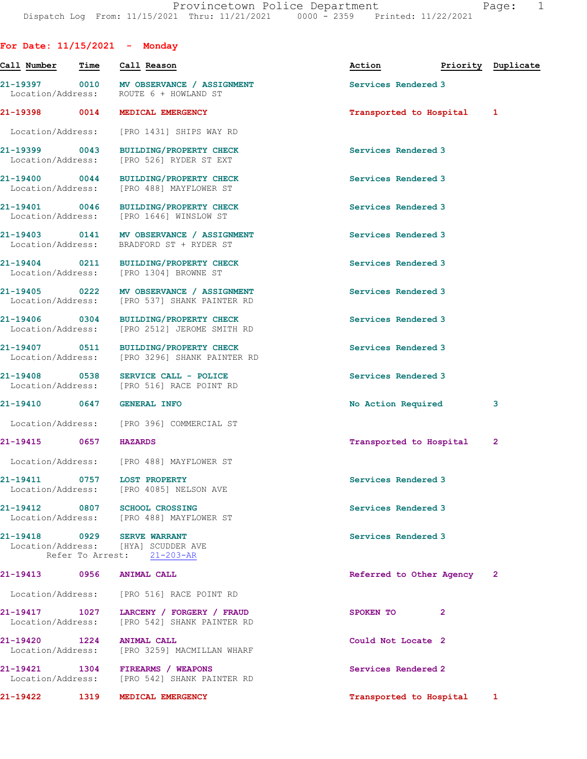| For Date: $11/15/2021$ - Monday    |      |                                                                                          |                           |                    |
|------------------------------------|------|------------------------------------------------------------------------------------------|---------------------------|--------------------|
| Call Number                        | Time | Call Reason                                                                              | Action                    | Priority Duplicate |
|                                    |      | 21-19397 0010 MV OBSERVANCE / ASSIGNMENT<br>Location/Address: ROUTE 6 + HOWLAND ST       | Services Rendered 3       |                    |
| 21-19398 0014                      |      | MEDICAL EMERGENCY                                                                        | Transported to Hospital   | $\mathbf{1}$       |
| Location/Address:                  |      | [PRO 1431] SHIPS WAY RD                                                                  |                           |                    |
| 21-19399 0043<br>Location/Address: |      | <b>BUILDING/PROPERTY CHECK</b><br>[PRO 526] RYDER ST EXT                                 | Services Rendered 3       |                    |
|                                    |      | 21-19400 0044 BUILDING/PROPERTY CHECK<br>Location/Address: [PRO 488] MAYFLOWER ST        | Services Rendered 3       |                    |
|                                    |      | 21-19401 0046 BUILDING/PROPERTY CHECK<br>Location/Address: [PRO 1646] WINSLOW ST         | Services Rendered 3       |                    |
|                                    |      | 21-19403 0141 MV OBSERVANCE / ASSIGNMENT<br>Location/Address: BRADFORD ST + RYDER ST     | Services Rendered 3       |                    |
|                                    |      | 21-19404 0211 BUILDING/PROPERTY CHECK<br>Location/Address: [PRO 1304] BROWNE ST          | Services Rendered 3       |                    |
|                                    |      | 21-19405 0222 MV OBSERVANCE / ASSIGNMENT<br>Location/Address: [PRO 537] SHANK PAINTER RD | Services Rendered 3       |                    |
| 21-19406 0304<br>Location/Address: |      | <b>BUILDING/PROPERTY CHECK</b><br>[PRO 2512] JEROME SMITH RD                             | Services Rendered 3       |                    |
| 21-19407 0511                      |      | <b>BUILDING/PROPERTY CHECK</b><br>Location/Address: [PRO 3296] SHANK PAINTER RD          | Services Rendered 3       |                    |
| 21-19408 0538                      |      | SERVICE CALL - POLICE<br>Location/Address: [PRO 516] RACE POINT RD                       | Services Rendered 3       |                    |
| 21-19410 0647 GENERAL INFO         |      |                                                                                          | No Action Required        | 3                  |
|                                    |      | Location/Address: [PRO 396] COMMERCIAL ST                                                |                           |                    |
| 21-19415                           | 0657 | <b>HAZARDS</b>                                                                           | Transported to Hospital   | $\mathbf{2}$       |
|                                    |      | Location/Address: [PRO 488] MAYFLOWER ST                                                 |                           |                    |
|                                    |      | 21-19411 0757 LOST PROPERTY<br>Location/Address: [PRO 4085] NELSON AVE                   | Services Rendered 3       |                    |
|                                    |      | 21-19412 0807 SCHOOL CROSSING<br>Location/Address: [PRO 488] MAYFLOWER ST                | Services Rendered 3       |                    |
| Location/Address:                  |      | 21-19418 0929 SERVE WARRANT<br>[HYA] SCUDDER AVE<br>Refer To Arrest: 21-203-AR           | Services Rendered 3       |                    |
| 21-19413                           | 0956 | <b>ANIMAL CALL</b>                                                                       | Referred to Other Agency  | $\mathbf{2}$       |
|                                    |      | Location/Address: [PRO 516] RACE POINT RD                                                |                           |                    |
| 21-19417 1027<br>Location/Address: |      | LARCENY / FORGERY / FRAUD<br>[PRO 542] SHANK PAINTER RD                                  | SPOKEN TO<br>$\mathbf{2}$ |                    |
| 21-19420 1224                      |      | ANIMAL CALL<br>Location/Address: [PRO 3259] MACMILLAN WHARF                              | Could Not Locate 2        |                    |
| Location/Address:                  |      | 21-19421 1304 FIREARMS / WEAPONS<br>[PRO 542] SHANK PAINTER RD                           | Services Rendered 2       |                    |
| 21-19422                           | 1319 | MEDICAL EMERGENCY                                                                        | Transported to Hospital   | $\mathbf{1}$       |
|                                    |      |                                                                                          |                           |                    |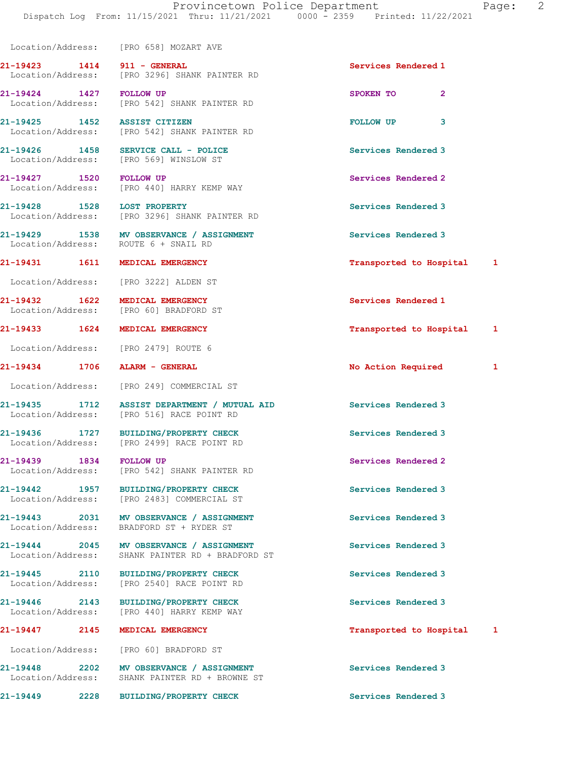Location/Address: [PRO 658] MOZART AVE

21-19423 1414 911 - GENERAL Services Rendered 1 Location/Address: [PRO 3296] SHANK PAINTER RD

21-19424 1427 FOLLOW UP SPOKEN TO 2 Location/Address: [PRO 542] SHANK PAINTER RD

21-19425 1452 ASSIST CITIZEN **FOLLOW UP** 3 Location/Address: [PRO 542] SHANK PAINTER RD

21-19426 1458 SERVICE CALL - POLICE Services Rendered 3 Location/Address: [PRO 569] WINSLOW ST

21-19427 1520 FOLLOW UP Services Rendered 2 Location/Address: [PRO 440] HARRY KEMP WAY

21-19428 1528 LOST PROPERTY Services Rendered 3 Location/Address: [PRO 3296] SHANK PAINTER RD

21-19429 1538 MV OBSERVANCE / ASSIGNMENT Services Rendered 3 Location/Address: ROUTE 6 + SNAIL RD

Location/Address: [PRO 3222] ALDEN ST

Location/Address: [PRO 60] BRADFORD ST

Location/Address: [PRO 2479] ROUTE 6

Location/Address: [PRO 249] COMMERCIAL ST

21-19435 1712 ASSIST DEPARTMENT / MUTUAL AID Services Rendered 3 Location/Address: [PRO 516] RACE POINT RD

21-19436 1727 BUILDING/PROPERTY CHECK Services Rendered 3 Location/Address: [PRO 2499] RACE POINT RD

21-19439 1834 FOLLOW UP Services Rendered 2 Location/Address: [PRO 542] SHANK PAINTER RD

21-19442 1957 BUILDING/PROPERTY CHECK Services Rendered 3 Location/Address: [PRO 2483] COMMERCIAL ST

21-19443 2031 MV OBSERVANCE / ASSIGNMENT Services Rendered 3 Location/Address: BRADFORD ST + RYDER ST

21-19444 2045 MV OBSERVANCE / ASSIGNMENT Services Rendered 3 Location/Address: SHANK PAINTER RD + BRADFORD ST

21-19445 2110 BUILDING/PROPERTY CHECK Services Rendered 3 Location/Address: [PRO 2540] RACE POINT RD

21-19446 2143 BUILDING/PROPERTY CHECK Services Rendered 3 Location/Address: [PRO 440] HARRY KEMP WAY

Location/Address: [PRO 60] BRADFORD ST

21-19448 2202 MV OBSERVANCE / ASSIGNMENT Services Rendered 3<br>
Location/Address: SHANK PAINTER RD + BROWNE ST SHANK PAINTER RD + BROWNE ST

21-19449 2228 BUILDING/PROPERTY CHECK Services Rendered 3

21-19431 1611 MEDICAL EMERGENCY 1999 11 19431 1

21-19432 1622 MEDICAL EMERGENCY Services Rendered 1

21-19433 1624 MEDICAL EMERGENCY Transported to Hospital 1

21-19434 1706 ALARM - GENERAL 1 1 2008 No Action Required 1

21-19447 2145 MEDICAL EMERGENCY Transported to Hospital 1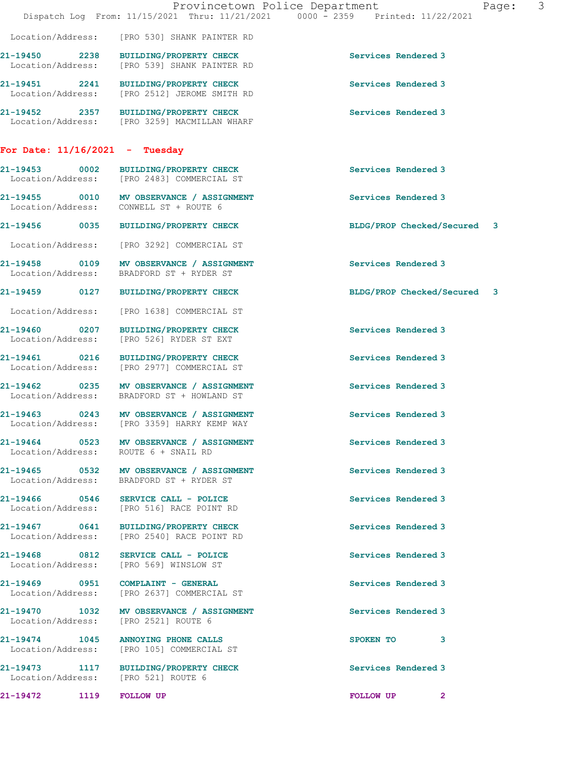|                                                                               | Provincetown Police Department<br>Dispatch Log From: 11/15/2021 Thru: 11/21/2021 0000 - 2359 Printed: 11/22/2021 |                             | Page: | $\mathcal{S}$ |
|-------------------------------------------------------------------------------|------------------------------------------------------------------------------------------------------------------|-----------------------------|-------|---------------|
|                                                                               | Location/Address: [PRO 530] SHANK PAINTER RD                                                                     |                             |       |               |
|                                                                               | 21-19450 2238 BUILDING/PROPERTY CHECK<br>Location/Address: [PRO 539] SHANK PAINTER RD                            | Services Rendered 3         |       |               |
|                                                                               | 21-19451 2241 BUILDING/PROPERTY CHECK<br>Location/Address: [PRO 2512] JEROME SMITH RD                            | Services Rendered 3         |       |               |
|                                                                               | 21-19452 2357 BUILDING/PROPERTY CHECK<br>Location/Address: [PRO 3259] MACMILLAN WHARF                            | Services Rendered 3         |       |               |
| For Date: $11/16/2021$ - Tuesday                                              |                                                                                                                  |                             |       |               |
|                                                                               | 21-19453 0002 BUILDING/PROPERTY CHECK<br>Location/Address: [PRO 2483] COMMERCIAL ST                              | Services Rendered 3         |       |               |
| Location/Address: CONWELL ST + ROUTE 6                                        | 21-19455 0010 MV OBSERVANCE / ASSIGNMENT                                                                         | Services Rendered 3         |       |               |
|                                                                               | 21-19456 0035 BUILDING/PROPERTY CHECK                                                                            | BLDG/PROP Checked/Secured 3 |       |               |
|                                                                               | Location/Address: [PRO 3292] COMMERCIAL ST                                                                       |                             |       |               |
|                                                                               | 21-19458 0109 MV OBSERVANCE / ASSIGNMENT<br>Location/Address: BRADFORD ST + RYDER ST                             | Services Rendered 3         |       |               |
|                                                                               | 21-19459 0127 BUILDING/PROPERTY CHECK                                                                            | BLDG/PROP Checked/Secured 3 |       |               |
|                                                                               | Location/Address: [PRO 1638] COMMERCIAL ST                                                                       |                             |       |               |
|                                                                               | 21-19460 0207 BUILDING/PROPERTY CHECK<br>Location/Address: [PRO 526] RYDER ST EXT                                | Services Rendered 3         |       |               |
|                                                                               | 21-19461 0216 BUILDING/PROPERTY CHECK<br>Location/Address: [PRO 2977] COMMERCIAL ST                              | Services Rendered 3         |       |               |
|                                                                               | 21-19462 0235 MV OBSERVANCE / ASSIGNMENT<br>Location/Address: BRADFORD ST + HOWLAND ST                           | Services Rendered 3         |       |               |
|                                                                               | 21-19463 0243 MV OBSERVANCE / ASSIGNMENT<br>Location/Address: [PRO 3359] HARRY KEMP WAY                          | Services Rendered 3         |       |               |
| Location/Address: ROUTE 6 + SNAIL RD                                          | 21-19464 0523 MV OBSERVANCE / ASSIGNMENT                                                                         | Services Rendered 3         |       |               |
|                                                                               | 21-19465 0532 MV OBSERVANCE / ASSIGNMENT<br>Location/Address: BRADFORD ST + RYDER ST                             | Services Rendered 3         |       |               |
|                                                                               | 21-19466 0546 SERVICE CALL - POLICE<br>Location/Address: [PRO 516] RACE POINT RD                                 | Services Rendered 3         |       |               |
|                                                                               | 21-19467 0641 BUILDING/PROPERTY CHECK<br>Location/Address: [PRO 2540] RACE POINT RD                              | Services Rendered 3         |       |               |
| 21-19468 0812 SERVICE CALL - POLICE<br>Location/Address: [PRO 569] WINSLOW ST |                                                                                                                  | Services Rendered 3         |       |               |
|                                                                               | 21-19469 0951 COMPLAINT - GENERAL<br>Location/Address: [PRO 2637] COMMERCIAL ST                                  | Services Rendered 3         |       |               |
| Location/Address: [PRO 2521] ROUTE 6                                          | 21-19470 1032 MV OBSERVANCE / ASSIGNMENT                                                                         | Services Rendered 3         |       |               |
| 21-19474 1045 ANNOYING PHONE CALLS                                            | Location/Address: [PRO 105] COMMERCIAL ST                                                                        | SPOKEN TO 3                 |       |               |
|                                                                               | 21-19473 1117 BUILDING/PROPERTY CHECK<br>Location/Address: [PRO 521] ROUTE 6                                     | Services Rendered 3         |       |               |
| 21-19472 1119 FOLLOW UP                                                       |                                                                                                                  | FOLLOW UP<br>2              |       |               |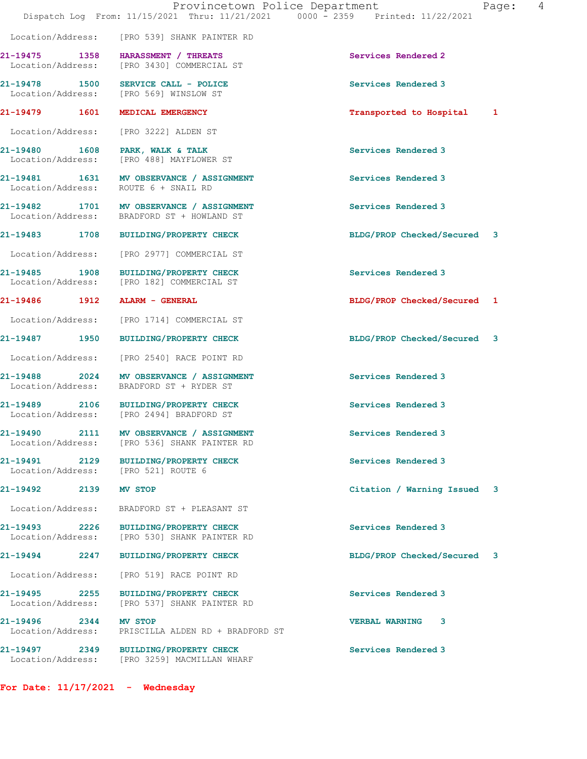|                                                 |                                                                                        | Provincetown Police Department<br>Page:<br>Dispatch Log From: 11/15/2021 Thru: 11/21/2021 0000 - 2359 Printed: 11/22/2021 | 4 |
|-------------------------------------------------|----------------------------------------------------------------------------------------|---------------------------------------------------------------------------------------------------------------------------|---|
|                                                 | Location/Address: [PRO 539] SHANK PAINTER RD                                           |                                                                                                                           |   |
|                                                 | 21-19475 1358 HARASSMENT / THREATS<br>Location/Address: [PRO 3430] COMMERCIAL ST       | Services Rendered 2                                                                                                       |   |
|                                                 | 21-19478 1500 SERVICE CALL - POLICE<br>Location/Address: [PRO 569] WINSLOW ST          | Services Rendered 3                                                                                                       |   |
|                                                 | 21-19479 1601 MEDICAL EMERGENCY                                                        | Transported to Hospital 1                                                                                                 |   |
|                                                 | Location/Address: [PRO 3222] ALDEN ST                                                  |                                                                                                                           |   |
|                                                 | 21-19480 1608 PARK, WALK & TALK<br>Location/Address: [PRO 488] MAYFLOWER ST            | Services Rendered 3                                                                                                       |   |
| Location/Address:                               | 21-19481 1631 MV OBSERVANCE / ASSIGNMENT<br>ROUTE 6 + SNAIL RD                         | Services Rendered 3                                                                                                       |   |
|                                                 | 21-19482 1701 MV OBSERVANCE / ASSIGNMENT<br>Location/Address: BRADFORD ST + HOWLAND ST | Services Rendered 3                                                                                                       |   |
|                                                 | 21-19483 1708 BUILDING/PROPERTY CHECK                                                  | BLDG/PROP Checked/Secured 3                                                                                               |   |
|                                                 | Location/Address: [PRO 2977] COMMERCIAL ST                                             |                                                                                                                           |   |
| 21-19485                                        | 1908 BUILDING/PROPERTY CHECK<br>Location/Address: [PRO 182] COMMERCIAL ST              | Services Rendered 3                                                                                                       |   |
| 21-19486             1912       ALARM - GENERAL |                                                                                        | BLDG/PROP Checked/Secured 1                                                                                               |   |
|                                                 | Location/Address: [PRO 1714] COMMERCIAL ST                                             |                                                                                                                           |   |
|                                                 | 21-19487 1950 BUILDING/PROPERTY CHECK                                                  | BLDG/PROP Checked/Secured 3                                                                                               |   |
|                                                 | Location/Address: [PRO 2540] RACE POINT RD                                             |                                                                                                                           |   |
| 2024<br>21-19488<br>Location/Address:           | MV OBSERVANCE / ASSIGNMENT<br>BRADFORD ST + RYDER ST                                   | Services Rendered 3                                                                                                       |   |
| 21-19489 2106                                   | BUILDING/PROPERTY CHECK<br>Location/Address: [PRO 2494] BRADFORD ST                    | Services Rendered 3                                                                                                       |   |
| Location/Address:                               | 21-19490 2111 MV OBSERVANCE / ASSIGNMENT<br>[PRO 536] SHANK PAINTER RD                 | Services Rendered 3                                                                                                       |   |
|                                                 | 21-19491 2129 BUILDING/PROPERTY CHECK<br>Location/Address: [PRO 521] ROUTE 6           | Services Rendered 3                                                                                                       |   |
| 21-19492                                        | 2139 MV STOP                                                                           | Citation / Warning Issued 3                                                                                               |   |
| Location/Address:                               | BRADFORD ST + PLEASANT ST                                                              |                                                                                                                           |   |
| Location/Address:                               | 21-19493 2226 BUILDING/PROPERTY CHECK<br>[PRO 530] SHANK PAINTER RD                    | Services Rendered 3                                                                                                       |   |
|                                                 | 21-19494 2247 BUILDING/PROPERTY CHECK                                                  | BLDG/PROP Checked/Secured 3                                                                                               |   |

Location/Address: [PRO 519] RACE POINT RD

21-19495 2255 BUILDING/PROPERTY CHECK Services Rendered 3 Location/Address: [PRO 537] SHANK PAINTER RD

21-19496 2344 MV STOP VERBAL WARNING 3 Location/Address: PRISCILLA ALDEN RD + BRADFORD ST

21-19497 2349 BUILDING/PROPERTY CHECK Services Rendered 3 Location/Address: [PRO 3259] MACMILLAN WHARF

For Date: 11/17/2021 - Wednesday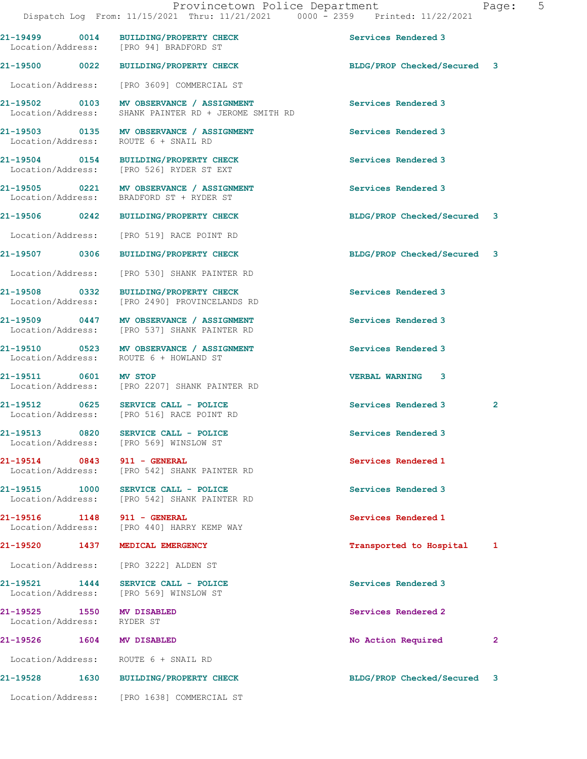| aqe |  |
|-----|--|
|     |  |

21-19499 0014 BUILDING/PROPERTY CHECK Services Rendered 3 Location/Address: [PRO 94] BRADFORD ST 21-19500 0022 BUILDING/PROPERTY CHECK BLDG/PROP Checked/Secured 3 Location/Address: [PRO 3609] COMMERCIAL ST 21-19502 0103 MV OBSERVANCE / ASSIGNMENT Services Rendered 3 Location/Address: SHANK PAINTER RD + JEROME SMITH RD 21-19503 0135 MV OBSERVANCE / ASSIGNMENT Services Rendered 3<br>
Location/Address: ROUTE 6 + SNAIL RD Location/Address: 21-19504 0154 BUILDING/PROPERTY CHECK Services Rendered 3 Location/Address: [PRO 526] RYDER ST EXT 21-19505 0221 MV OBSERVANCE / ASSIGNMENT Services Rendered 3 Location/Address: BRADFORD ST + RYDER ST 21-19506 0242 BUILDING/PROPERTY CHECK BLDG/PROP Checked/Secured 3 Location/Address: [PRO 519] RACE POINT RD 21-19507 0306 BUILDING/PROPERTY CHECK BLDG/PROP Checked/Secured 3 Location/Address: [PRO 530] SHANK PAINTER RD 21-19508 0332 BUILDING/PROPERTY CHECK Services Rendered 3 Location/Address: [PRO 2490] PROVINCELANDS RD 21-19509 0447 MV OBSERVANCE / ASSIGNMENT Services Rendered 3 Location/Address: [PRO 537] SHANK PAINTER RD 21-19510 0523 MV OBSERVANCE / ASSIGNMENT Services Rendered 3 Location/Address: ROUTE 6 + HOWLAND ST 21-19511 0601 MV STOP VERBAL WARNING 3 Location/Address: [PRO 2207] SHANK PAINTER RD 21-19512 0625 SERVICE CALL - POLICE Services Rendered 3 2 [PRO 516] RACE POINT RD 21-19513 0820 SERVICE CALL - POLICE Services Rendered 3 Location/Address: [PRO 569] WINSLOW ST 21-19514 0843 911 - GENERAL Services Rendered 1 Location/Address: [PRO 542] SHANK PAINTER RD 21-19515 1000 SERVICE CALL - POLICE 21 Services Rendered 3 Location/Address: [PRO 542] SHANK PAINTER RD 21-19516 1148 911 - GENERAL Services Rendered 1 Location/Address: [PRO 440] HARRY KEMP WAY 21-19520 1437 MEDICAL EMERGENCY Transported to Hospital 1 Location/Address: [PRO 3222] ALDEN ST 21-19521 1444 SERVICE CALL - POLICE 1995 Services Rendered 3 Location/Address: [PRO 569] WINSLOW ST 21-19525 1550 MV DISABLED 21-19525 Services Rendered 2 Location/Address: RYDER ST 21-19526 1604 MV DISABLED 20 No Action Required 2 Location/Address: ROUTE 6 + SNAIL RD 21-19528 1630 BUILDING/PROPERTY CHECK BLDG/PROP Checked/Secured 3

Location/Address: [PRO 1638] COMMERCIAL ST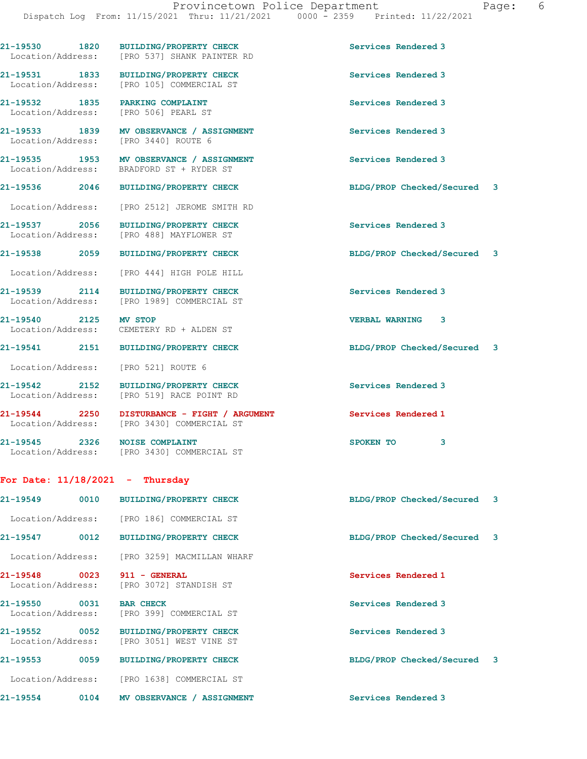| 21-19530 1820                         | <b>BUILDING/PROPERTY CHECK</b>                                       | Services Rendered 3                              |
|---------------------------------------|----------------------------------------------------------------------|--------------------------------------------------|
| Location/Address:                     | [PRO 537] SHANK PAINTER RD                                           |                                                  |
| 21-19531 1833<br>Location/Address:    | <b>BUILDING/PROPERTY CHECK</b><br>[PRO 105] COMMERCIAL ST            | Services Rendered 3                              |
| 21-19532 1835                         | PARKING COMPLAINT                                                    | Services Rendered 3                              |
| Location/Address:                     | [PRO 506] PEARL ST                                                   |                                                  |
| 21-19533 1839<br>Location/Address:    | MV OBSERVANCE / ASSIGNMENT<br>[PRO 3440] ROUTE 6                     | Services Rendered 3                              |
| 21-19535 1953<br>Location/Address:    | MV OBSERVANCE / ASSIGNMENT<br>BRADFORD ST + RYDER ST                 | Services Rendered 3                              |
| 21-19536 2046                         | BUILDING/PROPERTY CHECK                                              | BLDG/PROP Checked/Secured 3                      |
| Location/Address:                     | [PRO 2512] JEROME SMITH RD                                           |                                                  |
| 21-19537 2056                         | <b>BUILDING/PROPERTY CHECK</b>                                       | Services Rendered 3                              |
| Location/Address:                     | [PRO 488] MAYFLOWER ST                                               |                                                  |
| 21-19538 2059                         | <b>BUILDING/PROPERTY CHECK</b>                                       | BLDG/PROP Checked/Secured 3                      |
| Location/Address:                     | [PRO 444] HIGH POLE HILL                                             |                                                  |
| 21-19539 2114<br>Location/Address:    | <b>BUILDING/PROPERTY CHECK</b><br>[PRO 1989] COMMERCIAL ST           | Services Rendered 3                              |
| 21-19540 2125                         | <b>MV STOP</b><br>Location/Address: CEMETERY RD + ALDEN ST           | <b>VERBAL WARNING</b><br>$\overline{\mathbf{3}}$ |
| 21-19541 2151                         | <b>BUILDING/PROPERTY CHECK</b>                                       | BLDG/PROP Checked/Secured 3                      |
| Location/Address:                     | [PRO 521] ROUTE 6                                                    |                                                  |
| 21-19542 2152<br>Location/Address:    | <b>BUILDING/PROPERTY CHECK</b><br>[PRO 519] RACE POINT RD            | Services Rendered 3                              |
| 21-19544 2250<br>Location/Address:    | DISTURBANCE - FIGHT / ARGUMENT<br>[PRO 3430] COMMERCIAL ST           | Services Rendered 1                              |
| 21-19545 2326                         | <b>NOISE COMPLAINT</b><br>Location/Address: [PRO 3430] COMMERCIAL ST | 3<br>SPOKEN TO                                   |
|                                       | For Date: $11/18/2021$ - Thursday                                    |                                                  |
| $21 - 19549$<br>0010                  | <b>BUILDING/PROPERTY CHECK</b>                                       | BLDG/PROP Checked/Secured<br>3                   |
| Location/Address:                     | [PRO 186] COMMERCIAL ST                                              |                                                  |
| 21-19547<br>0012                      | <b>BUILDING/PROPERTY CHECK</b>                                       | BLDG/PROP Checked/Secured<br>3                   |
| Location/Address:                     | [PRO 3259] MACMILLAN WHARF                                           |                                                  |
| 21-19548<br>0023<br>Location/Address: | 911 - GENERAL<br>[PRO 3072] STANDISH ST                              | Services Rendered 1                              |
| 21-19550<br>0031<br>Location/Address: | <b>BAR CHECK</b><br>[PRO 399] COMMERCIAL ST                          | Services Rendered 3                              |
| 0052<br>21-19552<br>Location/Address: | BUILDING/PROPERTY CHECK<br>[PRO 3051] WEST VINE ST                   | Services Rendered 3                              |
| 21-19553<br>0059                      | <b>BUILDING/PROPERTY CHECK</b>                                       | BLDG/PROP Checked/Secured<br>3                   |
| Location/Address:                     | [PRO 1638] COMMERCIAL ST                                             |                                                  |
| 21-19554<br>0104                      | MV OBSERVANCE / ASSIGNMENT                                           | Services Rendered 3                              |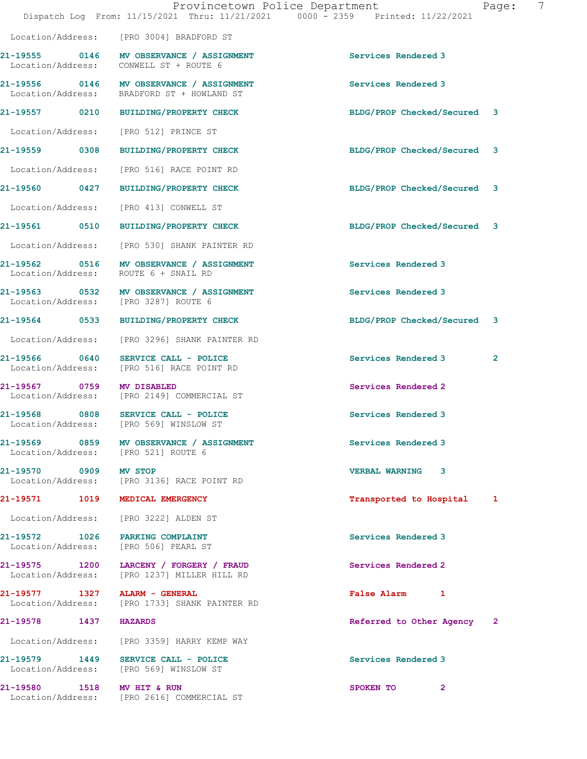|                                     |                                                                                                | Provincetown Police Department<br>Page:<br>Dispatch Log From: 11/15/2021 Thru: 11/21/2021 0000 - 2359 Printed: 11/22/2021 | 7 |
|-------------------------------------|------------------------------------------------------------------------------------------------|---------------------------------------------------------------------------------------------------------------------------|---|
|                                     | Location/Address: [PRO 3004] BRADFORD ST                                                       |                                                                                                                           |   |
|                                     | 21-19555 0146 MV OBSERVANCE / ASSIGNMENT<br>Location/Address: CONWELL ST + ROUTE 6             | Services Rendered 3                                                                                                       |   |
|                                     | 21-19556 0146 MV OBSERVANCE / ASSIGNMENT<br>Location/Address: BRADFORD ST + HOWLAND ST         | Services Rendered 3                                                                                                       |   |
|                                     | 21-19557 0210 BUILDING/PROPERTY CHECK                                                          | BLDG/PROP Checked/Secured 3                                                                                               |   |
|                                     | Location/Address: [PRO 512] PRINCE ST                                                          |                                                                                                                           |   |
|                                     | 21-19559 0308 BUILDING/PROPERTY CHECK                                                          | BLDG/PROP Checked/Secured 3                                                                                               |   |
|                                     | Location/Address: [PRO 516] RACE POINT RD                                                      |                                                                                                                           |   |
|                                     | 21-19560 0427 BUILDING/PROPERTY CHECK                                                          | BLDG/PROP Checked/Secured 3                                                                                               |   |
|                                     | Location/Address: [PRO 413] CONWELL ST                                                         |                                                                                                                           |   |
|                                     | 21-19561 0510 BUILDING/PROPERTY CHECK                                                          | BLDG/PROP Checked/Secured 3                                                                                               |   |
|                                     | Location/Address: [PRO 530] SHANK PAINTER RD                                                   |                                                                                                                           |   |
|                                     | 21-19562 0516 MV OBSERVANCE / ASSIGNMENT<br>Location/Address: ROUTE 6 + SNAIL RD               | Services Rendered 3                                                                                                       |   |
|                                     | 21-19563 0532 MV OBSERVANCE / ASSIGNMENT<br>Location/Address: [PRO 3287] ROUTE 6               | Services Rendered 3                                                                                                       |   |
|                                     | 21-19564 0533 BUILDING/PROPERTY CHECK                                                          | BLDG/PROP Checked/Secured 3                                                                                               |   |
|                                     | Location/Address: [PRO 3296] SHANK PAINTER RD                                                  |                                                                                                                           |   |
|                                     | 21-19566 0640 SERVICE CALL - POLICE<br>Location/Address: [PRO 516] RACE POINT RD               | Services Rendered 3<br>$\mathbf{2}$                                                                                       |   |
| 21-19567 0759 MV DISABLED           | Location/Address: [PRO 2149] COMMERCIAL ST                                                     | Services Rendered 2                                                                                                       |   |
|                                     | 21-19568 0808 SERVICE CALL - POLICE<br>Location/Address: [PRO 569] WINSLOW ST                  | Services Rendered 3                                                                                                       |   |
| Location/Address: [PRO 521] ROUTE 6 | 21-19569 0859 MV OBSERVANCE / ASSIGNMENT                                                       | Services Rendered 3                                                                                                       |   |
| 21-19570 0909 MV STOP               | Location/Address: [PRO 3136] RACE POINT RD                                                     | VERBAL WARNING 3                                                                                                          |   |
|                                     | 21-19571 1019 MEDICAL EMERGENCY                                                                | Transported to Hospital 1                                                                                                 |   |
|                                     | Location/Address: [PRO 3222] ALDEN ST                                                          |                                                                                                                           |   |
|                                     | 21-19572 1026 PARKING COMPLAINT<br>Location/Address: [PRO 506] PEARL ST                        | Services Rendered 3                                                                                                       |   |
|                                     | 21-19575 1200 LARCENY / FORGERY / FRAUD<br>Location/Address: [PRO 1237] MILLER HILL RD         | Services Rendered 2                                                                                                       |   |
|                                     | 21-19577         1327     ALARM - GENERAL<br>Location/Address:     [PRO 1733] SHANK PAINTER RD | False Alarm 1                                                                                                             |   |
| 21-19578 1437 HAZARDS               |                                                                                                | Referred to Other Agency 2                                                                                                |   |
|                                     | Location/Address: [PRO 3359] HARRY KEMP WAY                                                    |                                                                                                                           |   |
|                                     | 21-19579 1449 SERVICE CALL - POLICE<br>Location/Address: [PRO 569] WINSLOW ST                  | Services Rendered 3                                                                                                       |   |
| 21-19580 1518 MV HIT & RUN          | Location/Address: [PRO 2616] COMMERCIAL ST                                                     | SPOKEN TO<br>$\mathbf{2}$                                                                                                 |   |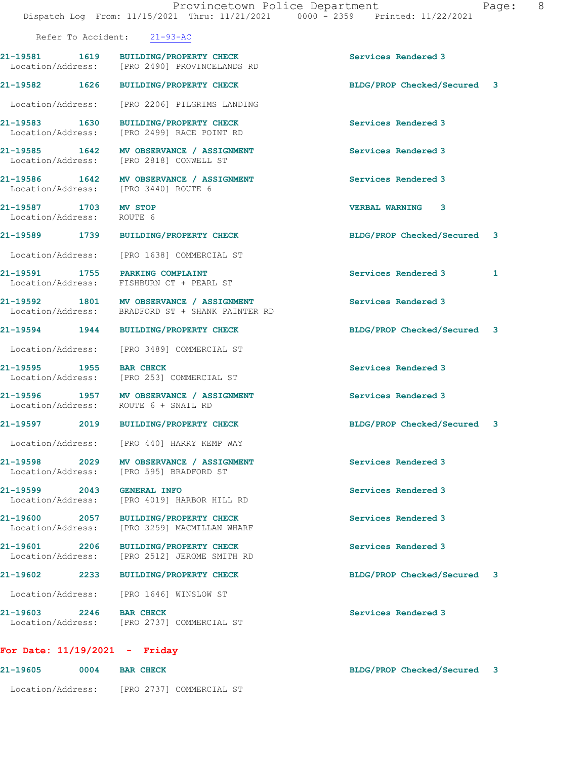Refer To Accident: 21-93-AC

| 21-19581<br>1619<br>Location/Address: |      | <b>BUILDING/PROPERTY CHECK</b><br>FPRO 24901 PROVINCELANDS RD | Services Rendered 3       |  |
|---------------------------------------|------|---------------------------------------------------------------|---------------------------|--|
| 21-19582                              | 1626 | <b>BUILDING/PROPERTY CHECK</b>                                | BLDG/PROP Checked/Secured |  |

Location/Address: [PRO 2206] PILGRIMS LANDING

21-19583 1630 BUILDING/PROPERTY CHECK Services Rendered 3 Location/Address: [PRO 2499] RACE POINT RD

21-19585 1642 MV OBSERVANCE / ASSIGNMENT Services Rendered 3 Location/Address: [PRO 2818] CONWELL ST

21-19586 1642 MV OBSERVANCE / ASSIGNMENT Services Rendered 3 Location/Address: [PRO 3440] ROUTE 6

21-19587 1703 MV STOP VERBAL WARNING 3 Location/Address: ROUTE 6

Location/Address: [PRO 440] HARRY KEMP WAY

Location/Address: [PRO 595] BRADFORD ST

21-19599 2043 GENERAL INFO<br>
Location/Address: [PRO 4019] HARBOR HILL RD<br>
services Rendered 3 [PRO 4019] HARBOR HILL RD

21-19600 2057 BUILDING/PROPERTY CHECK Services Rendered 3 Location/Address: [PRO 3259] MACMILLAN WHARF

21-19601 2206 BUILDING/PROPERTY CHECK Services Rendered 3 Location/Address: [PRO 2512] JEROME SMITH RD

Location/Address: [PRO 1646] WINSLOW ST

21-19603 2246 BAR CHECK Services Rendered 3 Location/Address: [PRO 2737] COMMERCIAL ST

## For Date: 11/19/2021 - Friday

| 21-19605          | 0004 | <b>BAR CHECK</b>         | BLDG/PROP Checked/Secured 3 |  |
|-------------------|------|--------------------------|-----------------------------|--|
| Location/Address: |      | [PRO 2737] COMMERCIAL ST |                             |  |

21-19589 1739 BUILDING/PROPERTY CHECK BLDG/PROP Checked/Secured 3

21-19591 1755 PARKING COMPLAINT 1999 1999 Services Rendered 3

21-19594 1944 BUILDING/PROPERTY CHECK BLDG/PROP Checked/Secured 3

21-19597 2019 BUILDING/PROPERTY CHECK BLDG/PROP Checked/Secured 3

21-19602 2233 BUILDING/PROPERTY CHECK BLDG/PROP Checked/Secured 3

Location/Address: [PRO 1638] COMMERCIAL ST

Location/Address: FISHBURN CT + PEARL ST

21-19592 1801 MV OBSERVANCE / ASSIGNMENT Services Rendered 3 Location/Address: BRADFORD ST + SHANK PAINTER RD

Location/Address: [PRO 3489] COMMERCIAL ST

21-19595 1955 BAR CHECK Services Rendered 3 Location/Address: [PRO 253] COMMERCIAL ST

21-19596 1957 MV OBSERVANCE / ASSIGNMENT Services Rendered 3 Location/Address: ROUTE 6 + SNAIL RD

21-19598 2029 MV OBSERVANCE / ASSIGNMENT Services Rendered 3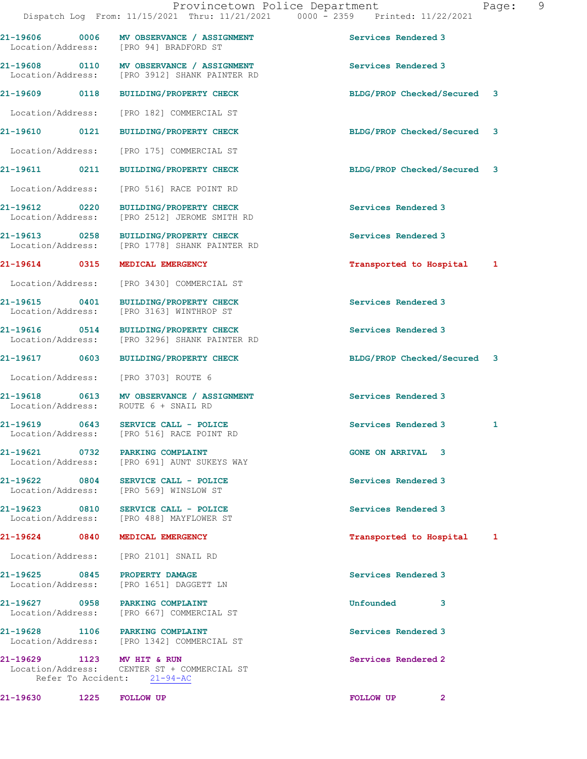| 21-19606 0006<br>Location/Address: | MV OBSERVANCE / ASSIGNMENT<br>[PRO 94] BRADFORD ST                                        | Services Rendered 3         |   |
|------------------------------------|-------------------------------------------------------------------------------------------|-----------------------------|---|
|                                    | 21-19608 0110 MV OBSERVANCE / ASSIGNMENT<br>Location/Address: [PRO 3912] SHANK PAINTER RD | Services Rendered 3         |   |
|                                    | 21-19609 0118 BUILDING/PROPERTY CHECK                                                     | BLDG/PROP Checked/Secured 3 |   |
|                                    | Location/Address: [PRO 182] COMMERCIAL ST                                                 |                             |   |
|                                    | 21-19610 0121 BUILDING/PROPERTY CHECK                                                     | BLDG/PROP Checked/Secured 3 |   |
|                                    | Location/Address: [PRO 175] COMMERCIAL ST                                                 |                             |   |
| 21-19611 0211                      | <b>BUILDING/PROPERTY CHECK</b>                                                            | BLDG/PROP Checked/Secured 3 |   |
| Location/Address:                  | [PRO 516] RACE POINT RD                                                                   |                             |   |
| 21-19612 0220<br>Location/Address: | <b>BUILDING/PROPERTY CHECK</b><br>[PRO 2512] JEROME SMITH RD                              | Services Rendered 3         |   |
| 21-19613 0258                      | BUILDING/PROPERTY CHECK<br>Location/Address: [PRO 1778] SHANK PAINTER RD                  | Services Rendered 3         |   |
| 21-19614 0315                      | MEDICAL EMERGENCY                                                                         | Transported to Hospital 1   |   |
| Location/Address:                  | [PRO 3430] COMMERCIAL ST                                                                  |                             |   |
| 21-19615 0401<br>Location/Address: | BUILDING/PROPERTY CHECK<br>[PRO 3163] WINTHROP ST                                         | Services Rendered 3         |   |
| Location/Address:                  | 21-19616 0514 BUILDING/PROPERTY CHECK<br>[PRO 3296] SHANK PAINTER RD                      | Services Rendered 3         |   |
| 21-19617 0603                      | BUILDING/PROPERTY CHECK                                                                   | BLDG/PROP Checked/Secured 3 |   |
| Location/Address:                  | [PRO 3703] ROUTE 6                                                                        |                             |   |
|                                    | 21-19618 0613 MV OBSERVANCE / ASSIGNMENT<br>Location/Address: ROUTE 6 + SNAIL RD          | Services Rendered 3         |   |
|                                    | 21-19619 0643 SERVICE CALL - POLICE<br>Location/Address: [PRO 516] RACE POINT RD          | Services Rendered 3         | 1 |
|                                    | 21-19621 0732 PARKING COMPLAINT<br>Location/Address: [PRO 691] AUNT SUKEYS WAY            | <b>GONE ON ARRIVAL 3</b>    |   |
| 21-19622 0804                      | SERVICE CALL - POLICE<br>Location/Address: [PRO 569] WINSLOW ST                           | Services Rendered 3         |   |
|                                    | 21-19623 0810 SERVICE CALL - POLICE<br>Location/Address: [PRO 488] MAYFLOWER ST           | Services Rendered 3         |   |
| 21-19624 0840                      | MEDICAL EMERGENCY                                                                         | Transported to Hospital 1   |   |
|                                    | Location/Address: [PRO 2101] SNAIL RD                                                     |                             |   |
| 21-19625 0845                      | PROPERTY DAMAGE<br>Location/Address: [PRO 1651] DAGGETT LN                                | Services Rendered 3         |   |
|                                    | 21-19627 0958 PARKING COMPLAINT<br>Location/Address: [PRO 667] COMMERCIAL ST              | Unfounded<br>3              |   |
|                                    | 21-19628 1106 PARKING COMPLAINT<br>Location/Address: [PRO 1342] COMMERCIAL ST             | Services Rendered 3         |   |
| 21-19629 1123 MV HIT & RUN         | Location/Address: CENTER ST + COMMERCIAL ST<br>Refer To Accident: 21-94-AC                | Services Rendered 2         |   |
| 21-19630 1225 FOLLOW UP            |                                                                                           | FOLLOW UP <sub>2</sub>      |   |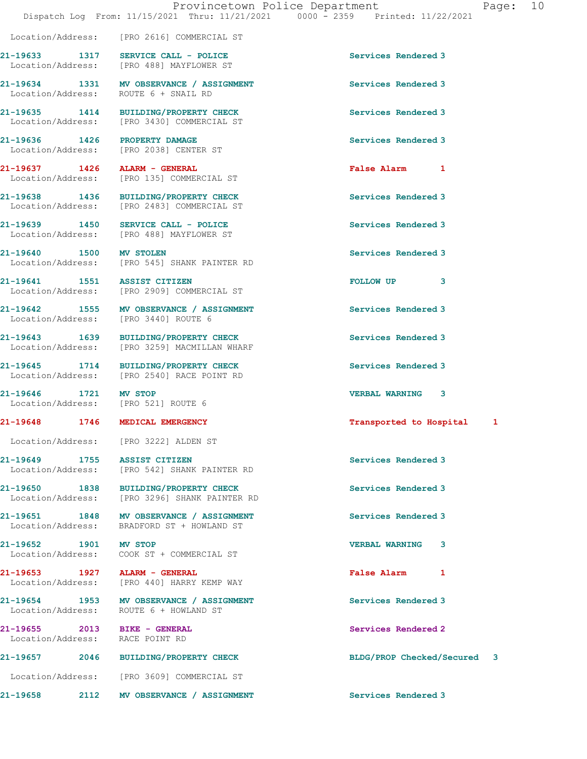| age : |  |
|-------|--|
|       |  |

|                                                                 | Location/Address: [PRO 2616] COMMERCIAL ST                                             |                             |   |
|-----------------------------------------------------------------|----------------------------------------------------------------------------------------|-----------------------------|---|
|                                                                 | 21-19633 1317 SERVICE CALL - POLICE<br>Location/Address: [PRO 488] MAYFLOWER ST        | Services Rendered 3         |   |
| Location/Address: ROUTE 6 + SNAIL RD                            | 21-19634 1331 MV OBSERVANCE / ASSIGNMENT                                               | Services Rendered 3         |   |
|                                                                 | 21-19635 1414 BUILDING/PROPERTY CHECK<br>Location/Address: [PRO 3430] COMMERCIAL ST    | Services Rendered 3         |   |
| 21-19636 1426 PROPERTY DAMAGE                                   | Location/Address: [PRO 2038] CENTER ST                                                 | Services Rendered 3         |   |
| 21-19637 1426 ALARM - GENERAL                                   | Location/Address: [PRO 135] COMMERCIAL ST                                              | False Alarm 1               |   |
|                                                                 | 21-19638 1436 BUILDING/PROPERTY CHECK<br>Location/Address: [PRO 2483] COMMERCIAL ST    | Services Rendered 3         |   |
|                                                                 | 21-19639 1450 SERVICE CALL - POLICE<br>Location/Address: [PRO 488] MAYFLOWER ST        | Services Rendered 3         |   |
| 21-19640 1500 MV STOLEN                                         | Location/Address: [PRO 545] SHANK PAINTER RD                                           | Services Rendered 3         |   |
| 21-19641 1551 ASSIST CITIZEN                                    | Location/Address: [PRO 2909] COMMERCIAL ST                                             | FOLLOW UP<br>3              |   |
|                                                                 | 21-19642 1555 MV OBSERVANCE / ASSIGNMENT<br>Location/Address: [PRO 3440] ROUTE 6       | Services Rendered 3         |   |
|                                                                 | 21-19643 1639 BUILDING/PROPERTY CHECK<br>Location/Address: [PRO 3259] MACMILLAN WHARF  | Services Rendered 3         |   |
|                                                                 | 21-19645 1714 BUILDING/PROPERTY CHECK<br>Location/Address: [PRO 2540] RACE POINT RD    | Services Rendered 3         |   |
| 21-19646 1721 MV STOP<br>Location/Address: [PRO 521] ROUTE 6    |                                                                                        | <b>VERBAL WARNING</b><br>3  |   |
| 21-19648 1746 MEDICAL EMERGENCY                                 |                                                                                        | Transported to Hospital     | 1 |
|                                                                 | Location/Address: [PRO 3222] ALDEN ST                                                  |                             |   |
| 21-19649<br>1755                                                | <b>ASSIST CITIZEN</b><br>Location/Address: [PRO 542] SHANK PAINTER RD                  | Services Rendered 3         |   |
|                                                                 | 21-19650 1838 BUILDING/PROPERTY CHECK<br>Location/Address: [PRO 3296] SHANK PAINTER RD | Services Rendered 3         |   |
|                                                                 | 21-19651 1848 MV OBSERVANCE / ASSIGNMENT<br>Location/Address: BRADFORD ST + HOWLAND ST | Services Rendered 3         |   |
|                                                                 | 21-19652 1901 MV STOP<br>Location/Address: COOK ST + COMMERCIAL ST                     | <b>VERBAL WARNING</b><br>3  |   |
| 21-19653 1927 ALARM - GENERAL                                   | Location/Address: [PRO 440] HARRY KEMP WAY                                             | <b>False Alarm</b><br>1     |   |
|                                                                 | 21-19654 1953 MV OBSERVANCE / ASSIGNMENT<br>Location/Address: ROUTE 6 + HOWLAND ST     | Services Rendered 3         |   |
| 21-19655 2013 BIKE - GENERAL<br>Location/Address: RACE POINT RD |                                                                                        | Services Rendered 2         |   |
|                                                                 | 21-19657 2046 BUILDING/PROPERTY CHECK                                                  | BLDG/PROP Checked/Secured 3 |   |
|                                                                 | Location/Address: [PRO 3609] COMMERCIAL ST                                             |                             |   |
|                                                                 |                                                                                        |                             |   |

21-19658 2112 MV OBSERVANCE / ASSIGNMENT Services Rendered 3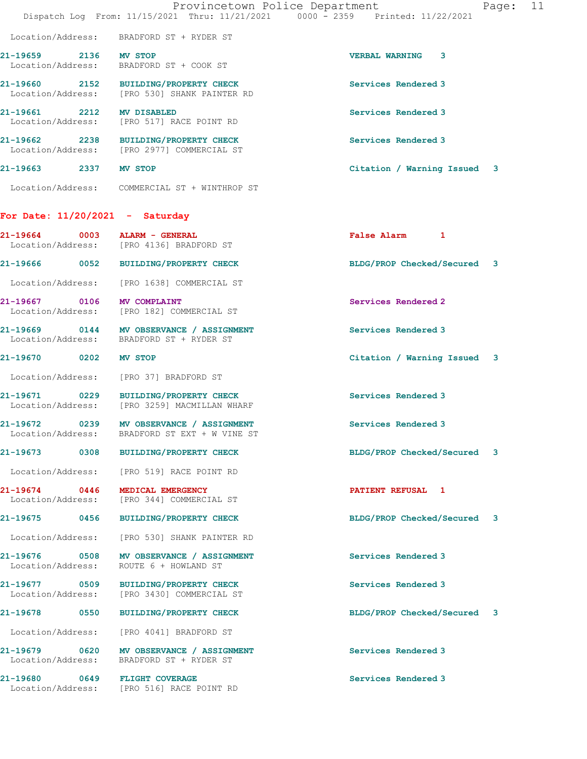|                                       |      | Provincetown Police Department<br>Dispatch Log From: 11/15/2021 Thru: 11/21/2021 0000 - 2359 Printed: 11/22/2021 |                             | Page: | 11 |
|---------------------------------------|------|------------------------------------------------------------------------------------------------------------------|-----------------------------|-------|----|
| Location/Address:                     |      | BRADFORD ST + RYDER ST                                                                                           |                             |       |    |
| 21-19659 2136 MV STOP                 |      | Location/Address: BRADFORD ST + COOK ST                                                                          | <b>VERBAL WARNING 3</b>     |       |    |
|                                       |      | 21-19660 2152 BUILDING/PROPERTY CHECK<br>Location/Address: [PRO 530] SHANK PAINTER RD                            | Services Rendered 3         |       |    |
| 21-19661 2212<br>Location/Address:    |      | MV DISABLED<br>[PRO 517] RACE POINT RD                                                                           | Services Rendered 3         |       |    |
|                                       |      | 21-19662 2238 BUILDING/PROPERTY CHECK<br>Location/Address: [PRO 2977] COMMERCIAL ST                              | Services Rendered 3         |       |    |
| 21-19663 2337 MV STOP                 |      |                                                                                                                  | Citation / Warning Issued 3 |       |    |
|                                       |      | Location/Address: COMMERCIAL ST + WINTHROP ST                                                                    |                             |       |    |
| For Date: $11/20/2021$ - Saturday     |      |                                                                                                                  |                             |       |    |
| 21-19664                              | 0003 | ALARM - GENERAL<br>Location/Address: [PRO 4136] BRADFORD ST                                                      | False Alarm 1               |       |    |
|                                       |      | 21-19666 0052 BUILDING/PROPERTY CHECK                                                                            | BLDG/PROP Checked/Secured 3 |       |    |
| Location/Address:                     |      | [PRO 1638] COMMERCIAL ST                                                                                         |                             |       |    |
| 21-19667 0106<br>Location/Address:    |      | MV COMPLAINT<br>[PRO 182] COMMERCIAL ST                                                                          | Services Rendered 2         |       |    |
|                                       |      | 21-19669 0144 MV OBSERVANCE / ASSIGNMENT<br>Location/Address: BRADFORD ST + RYDER ST                             | Services Rendered 3         |       |    |
| 21-19670 0202                         |      | MV STOP                                                                                                          | Citation / Warning Issued 3 |       |    |
| Location/Address:                     |      | [PRO 37] BRADFORD ST                                                                                             |                             |       |    |
| 21-19671 0229<br>Location/Address:    |      | BUILDING/PROPERTY CHECK<br>[PRO 3259] MACMILLAN WHARF                                                            | Services Rendered 3         |       |    |
| 0239<br>21-19672<br>Location/Address: |      | MV OBSERVANCE / ASSIGNMENT<br>BRADFORD ST EXT + W VINE ST                                                        | Services Rendered 3         |       |    |
|                                       |      | 21-19673 0308 BUILDING/PROPERTY CHECK                                                                            | BLDG/PROP Checked/Secured 3 |       |    |
|                                       |      | Location/Address: [PRO 519] RACE POINT RD                                                                        |                             |       |    |
| 21-19674 0446                         |      | MEDICAL EMERGENCY<br>Location/Address: [PRO 344] COMMERCIAL ST                                                   | PATIENT REFUSAL 1           |       |    |
| 21-19675 0456                         |      | <b>BUILDING/PROPERTY CHECK</b>                                                                                   | BLDG/PROP Checked/Secured 3 |       |    |
| Location/Address:                     |      | [PRO 530] SHANK PAINTER RD                                                                                       |                             |       |    |
| 21-19676 0508<br>Location/Address:    |      | MV OBSERVANCE / ASSIGNMENT<br>ROUTE 6 + HOWLAND ST                                                               | Services Rendered 3         |       |    |
| 21-19677 0509<br>Location/Address:    |      | BUILDING/PROPERTY CHECK<br>[PRO 3430] COMMERCIAL ST                                                              | Services Rendered 3         |       |    |
| 21-19678 0550                         |      | <b>BUILDING/PROPERTY CHECK</b>                                                                                   | BLDG/PROP Checked/Secured 3 |       |    |
|                                       |      | Location/Address: [PRO 4041] BRADFORD ST                                                                         |                             |       |    |
|                                       |      | 21-19679 0620 MV OBSERVANCE / ASSIGNMENT<br>Location/Address: BRADFORD ST + RYDER ST                             | Services Rendered 3         |       |    |
| 21-19680 0649 FLIGHT COVERAGE         |      | Location/Address: [PRO 516] RACE POINT RD                                                                        | Services Rendered 3         |       |    |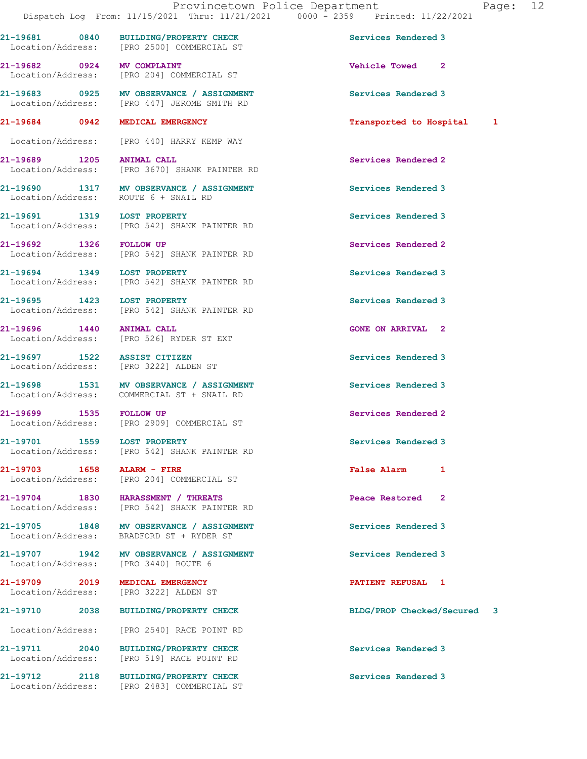Location/Address: [PRO 204] COMMERCIAL ST 21-19683 0925 MV OBSERVANCE / ASSIGNMENT Services Rendered 3 Location/Address: [PRO 447] JEROME SMITH RD 21-19684 0942 MEDICAL EMERGENCY Transported to Hospital 1 Location/Address: [PRO 440] HARRY KEMP WAY

Location/Address: [PRO 2500] COMMERCIAL ST

Location/Address: [PRO 3670] SHANK PAINTER RD

21-19690 1317 MV OBSERVANCE / ASSIGNMENT Services Rendered 3 Location/Address: ROUTE 6 + SNAIL RD

21-19691 1319 LOST PROPERTY<br>
Location/Address: [PRO 542] SHANK PAINTER RD<br>
Services Rendered 3 [PRO 542] SHANK PAINTER RD

21-19692 1326 FOLLOW UP Services Rendered 2 Location/Address: [PRO 542] SHANK PAINTER RD

21-19694 1349 LOST PROPERTY Services Rendered 3<br>
Location/Address: [PRO 542] SHANK PAINTER RD [PRO 542] SHANK PAINTER RD

21-19695 1423 LOST PROPERTY Services Rendered 3 Location/Address: [PRO 542] SHANK PAINTER RD

21-19696 1440 ANIMAL CALL CONE ON ARRIVAL 2 Location/Address: [PRO 526] RYDER ST EXT

Location/Address: [PRO 3222] ALDEN ST

21-19698 1531 MV OBSERVANCE / ASSIGNMENT Services Rendered 3 Location/Address: COMMERCIAL ST + SNAIL RD

21-19699 1535 FOLLOW UP (2008) 21-19699 Services Rendered 2<br>
Location/Address: [PRO 2909] COMMERCIAL ST [PRO 2909] COMMERCIAL ST

21-19701 1559 LOST PROPERTY **120 Services Rendered** 3 Location/Address: [PRO 542] SHANK PAINTER RD

21-19703 1658 ALARM - FIRE False Alarm 1 Location/Address: [PRO 204] COMMERCIAL ST

21-19704 1830 HARASSMENT / THREATS Peace Restored 2 Location/Address: [PRO 542] SHANK PAINTER RD

21-19705 1848 MV OBSERVANCE / ASSIGNMENT Services Rendered 3<br>
Location/Address: BRADFORD ST + RYDER ST BRADFORD ST + RYDER ST

21-19707 1942 MV OBSERVANCE / ASSIGNMENT Services Rendered 3 Location/Address: [PRO 3440] ROUTE 6

Location/Address: [PRO 3222] ALDEN ST

Location/Address: [PRO 2540] RACE POINT RD

Location/Address: [PRO 519] RACE POINT RD

21-19711 2040 BUILDING/PROPERTY CHECK Services Rendered 3

21-19712 2118 BUILDING/PROPERTY CHECK Services Rendered 3 Location/Address: [PRO 2483] COMMERCIAL ST

21-19681 0840 BUILDING/PROPERTY CHECK Services Rendered 3

21-19682 0924 MV COMPLAINT 2000 2000 21-19682 Vehicle Towed

21-19689 1205 ANIMAL CALL Services Rendered 2

21-19697 1522 ASSIST CITIZEN Services Rendered 3

21-19709 2019 MEDICAL EMERGENCY **PATIENT REFUSAL 1** 

21-19710 2038 BUILDING/PROPERTY CHECK BLDG/PROP Checked/Secured 3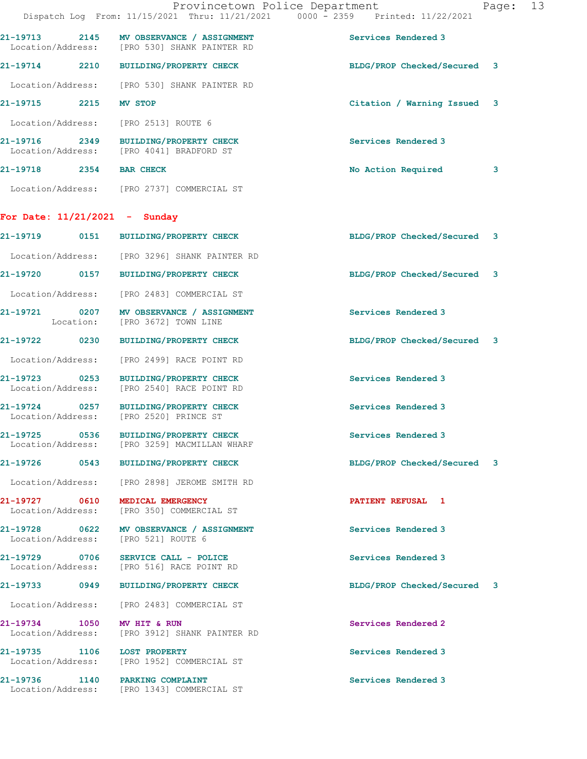|                                                  |                                                                                          | Provincetown Police Department<br>13<br>Page:<br>Dispatch Log From: 11/15/2021 Thru: 11/21/2021 0000 - 2359 Printed: 11/22/2021 |
|--------------------------------------------------|------------------------------------------------------------------------------------------|---------------------------------------------------------------------------------------------------------------------------------|
|                                                  | 21-19713 2145 MV OBSERVANCE / ASSIGNMENT<br>Location/Address: [PRO 530] SHANK PAINTER RD | Services Rendered 3                                                                                                             |
|                                                  | 21-19714 2210 BUILDING/PROPERTY CHECK                                                    | BLDG/PROP Checked/Secured 3                                                                                                     |
|                                                  | Location/Address: [PRO 530] SHANK PAINTER RD                                             |                                                                                                                                 |
| 21-19715 2215                                    | <b>MV STOP</b>                                                                           | Citation / Warning Issued 3                                                                                                     |
|                                                  | Location/Address: [PRO 2513] ROUTE 6                                                     |                                                                                                                                 |
|                                                  | 21-19716 2349 BUILDING/PROPERTY CHECK<br>Location/Address: [PRO 4041] BRADFORD ST        | Services Rendered 3                                                                                                             |
| 21-19718 2354 BAR CHECK                          |                                                                                          | No Action Required<br>3                                                                                                         |
|                                                  | Location/Address: [PRO 2737] COMMERCIAL ST                                               |                                                                                                                                 |
| For Date: $11/21/2021$ - Sunday                  |                                                                                          |                                                                                                                                 |
|                                                  | 21-19719 0151 BUILDING/PROPERTY CHECK                                                    | BLDG/PROP Checked/Secured 3                                                                                                     |
| Location/Address:                                | [PRO 3296] SHANK PAINTER RD                                                              |                                                                                                                                 |
|                                                  | 21-19720 0157 BUILDING/PROPERTY CHECK                                                    | BLDG/PROP Checked/Secured 3                                                                                                     |
| Location/Address:                                | [PRO 2483] COMMERCIAL ST                                                                 |                                                                                                                                 |
|                                                  | 21-19721 0207 MV OBSERVANCE / ASSIGNMENT<br>Location: [PRO 3672] TOWN LINE               | Services Rendered 3                                                                                                             |
| 21-19722 0230                                    | BUILDING/PROPERTY CHECK                                                                  | BLDG/PROP Checked/Secured 3                                                                                                     |
| Location/Address:                                | [PRO 2499] RACE POINT RD                                                                 |                                                                                                                                 |
| 21-19723 0253<br>Location/Address:               | BUILDING/PROPERTY CHECK<br>[PRO 2540] RACE POINT RD                                      | Services Rendered 3                                                                                                             |
|                                                  | 21-19724 0257 BUILDING/PROPERTY CHECK<br>Location/Address: [PRO 2520] PRINCE ST          | Services Rendered 3                                                                                                             |
| 21-19725                                         | 0536 BUILDING/PROPERTY CHECK<br>Location/Address: [PRO 3259] MACMILLAN WHARF             | Services Rendered 3                                                                                                             |
|                                                  | 21-19726 0543 BUILDING/PROPERTY CHECK                                                    | BLDG/PROP Checked/Secured 3                                                                                                     |
| Location/Address:                                | [PRO 2898] JEROME SMITH RD                                                               |                                                                                                                                 |
| 21-19727 0610<br>Location/Address:               | MEDICAL EMERGENCY<br>[PRO 350] COMMERCIAL ST                                             | PATIENT REFUSAL 1                                                                                                               |
| Location/Address:                                | 21-19728 0622 MV OBSERVANCE / ASSIGNMENT<br>[PRO 521] ROUTE 6                            | Services Rendered 3                                                                                                             |
| 21-19729 0706                                    | SERVICE CALL - POLICE<br>Location/Address: [PRO 516] RACE POINT RD                       | Services Rendered 3                                                                                                             |
|                                                  | 21-19733  0949 BUILDING/PROPERTY CHECK                                                   | BLDG/PROP Checked/Secured 3                                                                                                     |
| Location/Address:                                | [PRO 2483] COMMERCIAL ST                                                                 |                                                                                                                                 |
| 21-19734 1050<br>Location/Address:               | MV HIT & RUN<br>[PRO 3912] SHANK PAINTER RD                                              | Services Rendered 2                                                                                                             |
| 21-19735 1106 LOST PROPERTY<br>Location/Address: | [PRO 1952] COMMERCIAL ST                                                                 | Services Rendered 3                                                                                                             |
| 21-19736 1140 PARKING COMPLAINT                  | Location/Address: [PRO 1343] COMMERCIAL ST                                               | Services Rendered 3                                                                                                             |